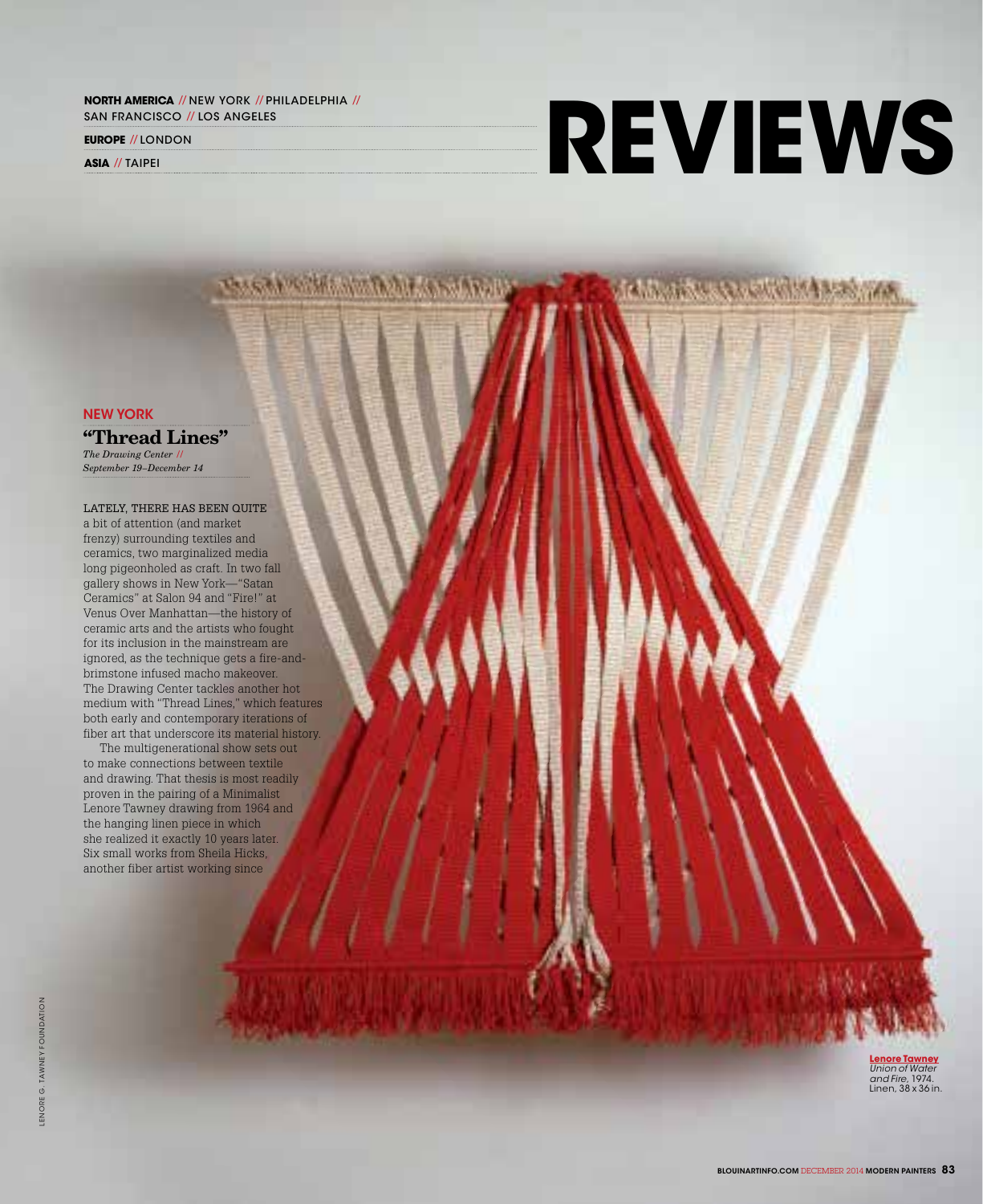**NORTH AMERICA // NEW YORK // PHILADELPHIA //** san francisco // los angeles

**SASKAR WALKER** 

**europe** // london

**asia** // Taipei

## **reviews**

**In a market see which is a second** 

new york

"Thread Lines" *The Drawing Center //* 

*September 19–December 14*

LATELY, THERE HAS BEEN QUITE a bit of attention (and market frenzy) surrounding textiles and ceramics, two marginalized media long pigeonholed as craft. In two fall gallery shows in New York—"Satan Ceramics" at Salon 94 and "Fire!" at Venus Over Manhattan—the history of ceramic arts and the artists who fought for its inclusion in the mainstream are ignored, as the technique gets a fire-andbrimstone infused macho makeover. The Drawing Center tackles another hot medium with "Thread Lines," which features both early and contemporary iterations of fiber art that underscore its material history.

The multigenerational show sets out to make connections between textile and drawing. That thesis is most readily proven in the pairing of a Minimalist Lenore Tawney drawing from 1964 and the hanging linen piece in which she realized it exactly 10 years later. Six small works from Sheila Hicks, another fiber artist working since